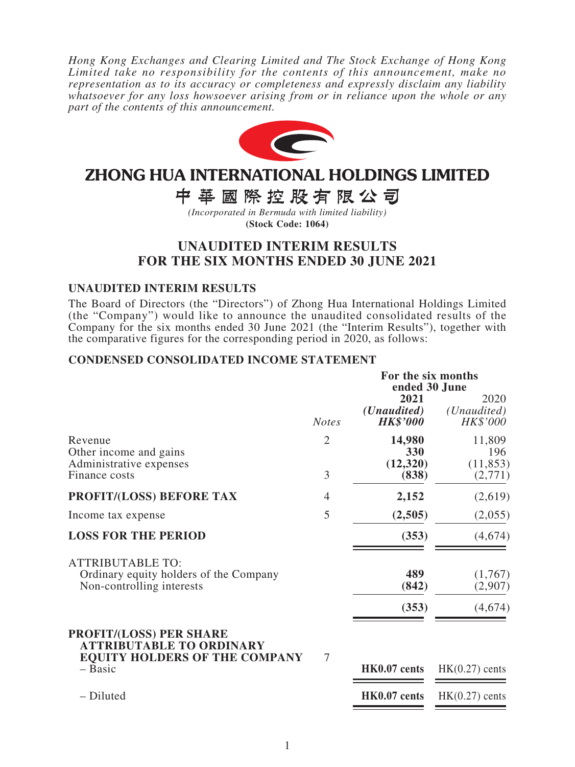*Hong Kong Exchanges and Clearing Limited and The Stock Exchange of Hong Kong Limited take no responsibility for the contents of this announcement, make no representation as to its accuracy or completeness and expressly disclaim any liability whatsoever for any loss howsoever arising from or in reliance upon the whole or any part of the contents of this announcement.*



# ZHONG HUA INTERNATIONAL HOLDINGS LIMITED

中華國際控股有限公司

*(Incorporated in Bermuda with limited liability)* **(Stock Code: 1064)**

# **UNAUDITED INTERIM RESULTS FOR THE SIX MONTHS ENDED 30 JUNE 2021**

### **UNAUDITED INTERIM RESULTS**

The Board of Directors (the "Directors") of Zhong Hua International Holdings Limited (the "Company") would like to announce the unaudited consolidated results of the Company for the six months ended 30 June 2021 (the "Interim Results"), together with the comparative figures for the corresponding period in 2020, as follows:

### **CONDENSED CONSOLIDATED INCOME STATEMENT**

|                                                                                                           |                | For the six months<br>ended 30 June             |                                          |  |
|-----------------------------------------------------------------------------------------------------------|----------------|-------------------------------------------------|------------------------------------------|--|
|                                                                                                           | <b>Notes</b>   | 2021<br>( <i>Unaudited</i> )<br><b>HK\$'000</b> | 2020<br>( <i>Unaudited</i> )<br>HK\$'000 |  |
| Revenue<br>Other income and gains<br>Administrative expenses                                              | $\overline{2}$ | 14,980<br>330<br>(12,320)                       | 11,809<br>196<br>(11, 853)               |  |
| Finance costs                                                                                             | 3              | (838)                                           | (2,771)                                  |  |
| <b>PROFIT/(LOSS) BEFORE TAX</b>                                                                           | $\overline{4}$ | 2,152                                           | (2,619)                                  |  |
| Income tax expense                                                                                        | 5              | (2,505)                                         | (2,055)                                  |  |
| <b>LOSS FOR THE PERIOD</b>                                                                                |                | (353)                                           | (4,674)                                  |  |
| <b>ATTRIBUTABLE TO:</b><br>Ordinary equity holders of the Company<br>Non-controlling interests            |                | 489<br>(842)                                    | (1,767)<br>(2,907)                       |  |
|                                                                                                           |                | (353)                                           | (4,674)                                  |  |
| <b>PROFIT/(LOSS) PER SHARE</b><br><b>ATTRIBUTABLE TO ORDINARY</b><br><b>EQUITY HOLDERS OF THE COMPANY</b> | $\overline{7}$ |                                                 |                                          |  |
| - Basic                                                                                                   |                | HK0.07 cents                                    | $HK(0.27)$ cents                         |  |
| - Diluted                                                                                                 |                | HK0.07 cents                                    | $HK(0.27)$ cents                         |  |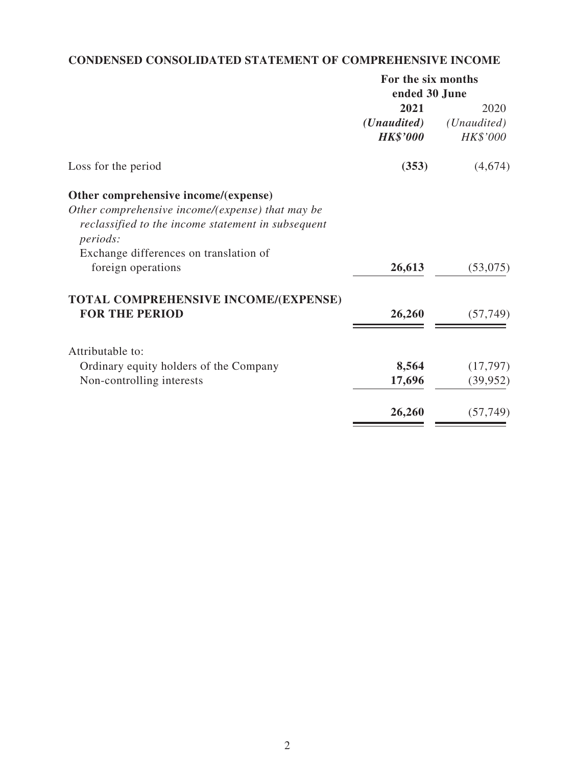# **CONDENSED CONSOLIDATED STATEMENT OF COMPREHENSIVE INCOME**

|                                                    | For the six months   |             |  |
|----------------------------------------------------|----------------------|-------------|--|
|                                                    | ended 30 June        |             |  |
|                                                    | 2021                 | 2020        |  |
|                                                    | ( <i>Unaudited</i> ) | (Unaudited) |  |
|                                                    | <b>HK\$'000</b>      | HK\$'000    |  |
| Loss for the period                                | (353)                | (4,674)     |  |
| Other comprehensive income/(expense)               |                      |             |  |
| Other comprehensive income/(expense) that may be   |                      |             |  |
| reclassified to the income statement in subsequent |                      |             |  |
| <i>periods:</i>                                    |                      |             |  |
| Exchange differences on translation of             |                      |             |  |
| foreign operations                                 | 26,613               | (53,075)    |  |
| <b>TOTAL COMPREHENSIVE INCOME/(EXPENSE)</b>        |                      |             |  |
| <b>FOR THE PERIOD</b>                              | 26,260               | (57, 749)   |  |
| Attributable to:                                   |                      |             |  |
| Ordinary equity holders of the Company             | 8,564                | (17, 797)   |  |
| Non-controlling interests                          | 17,696               | (39, 952)   |  |
|                                                    |                      |             |  |
|                                                    | 26,260               | (57, 749)   |  |
|                                                    |                      |             |  |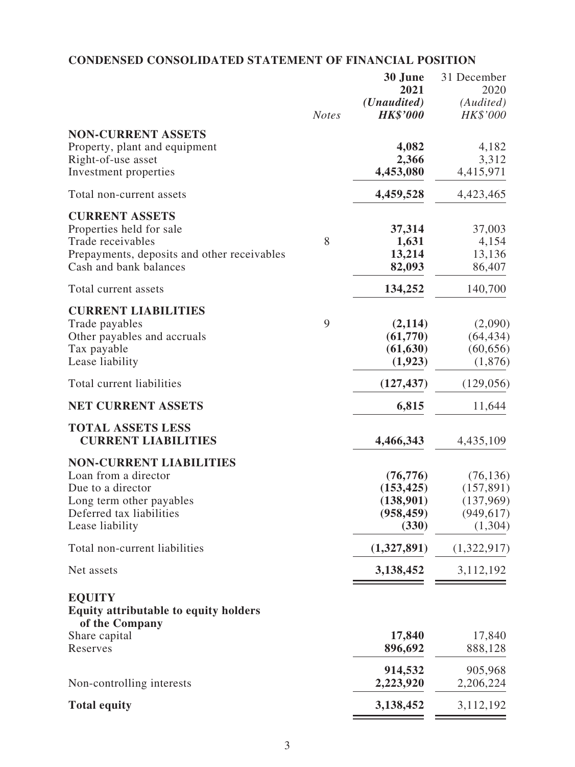# **CONDENSED CONSOLIDATED STATEMENT OF FINANCIAL POSITION**

|                                                        |              | 30 June<br>2021                         | 31 December<br>2020   |
|--------------------------------------------------------|--------------|-----------------------------------------|-----------------------|
|                                                        | <b>Notes</b> | ( <i>Unaudited</i> )<br><b>HK\$'000</b> | (Audited)<br>HK\$'000 |
| <b>NON-CURRENT ASSETS</b>                              |              |                                         |                       |
| Property, plant and equipment                          |              | 4,082                                   | 4,182                 |
| Right-of-use asset<br>Investment properties            |              | 2,366<br>4,453,080                      | 3,312<br>4,415,971    |
| Total non-current assets                               |              | 4,459,528                               | 4,423,465             |
| <b>CURRENT ASSETS</b>                                  |              |                                         |                       |
| Properties held for sale                               |              | 37,314                                  | 37,003                |
| Trade receivables                                      | 8            | 1,631                                   | 4,154                 |
| Prepayments, deposits and other receivables            |              | 13,214                                  | 13,136                |
| Cash and bank balances                                 |              | 82,093                                  | 86,407                |
| Total current assets                                   |              | 134,252                                 | 140,700               |
| <b>CURRENT LIABILITIES</b>                             |              |                                         |                       |
| Trade payables                                         | 9            | (2,114)                                 | (2,090)               |
| Other payables and accruals                            |              | (61,770)                                | (64, 434)             |
| Tax payable                                            |              | (61, 630)                               | (60, 656)             |
| Lease liability                                        |              | (1, 923)                                | (1,876)               |
| Total current liabilities                              |              | (127, 437)                              | (129, 056)            |
| <b>NET CURRENT ASSETS</b>                              |              | 6,815                                   | 11,644                |
| <b>TOTAL ASSETS LESS</b><br><b>CURRENT LIABILITIES</b> |              | 4,466,343                               | 4,435,109             |
| <b>NON-CURRENT LIABILITIES</b>                         |              |                                         |                       |
| Loan from a director                                   |              | (76, 776)                               | (76, 136)             |
| Due to a director                                      |              | (153, 425)                              | (157, 891)            |
| Long term other payables                               |              | (138,901)                               | (137,969)             |
| Deferred tax liabilities                               |              | (958, 459)                              | (949, 617)            |
| Lease liability                                        |              | (330)                                   | (1,304)               |
| Total non-current liabilities                          |              | (1,327,891)                             | (1,322,917)           |
| Net assets                                             |              | 3,138,452                               | 3,112,192             |
| <b>EQUITY</b>                                          |              |                                         |                       |
| <b>Equity attributable to equity holders</b>           |              |                                         |                       |
| of the Company                                         |              |                                         |                       |
| Share capital                                          |              | 17,840                                  | 17,840                |
| Reserves                                               |              | 896,692                                 | 888,128               |
|                                                        |              | 914,532                                 | 905,968               |
| Non-controlling interests                              |              | 2,223,920                               | 2,206,224             |
| <b>Total equity</b>                                    |              | 3,138,452                               | 3,112,192             |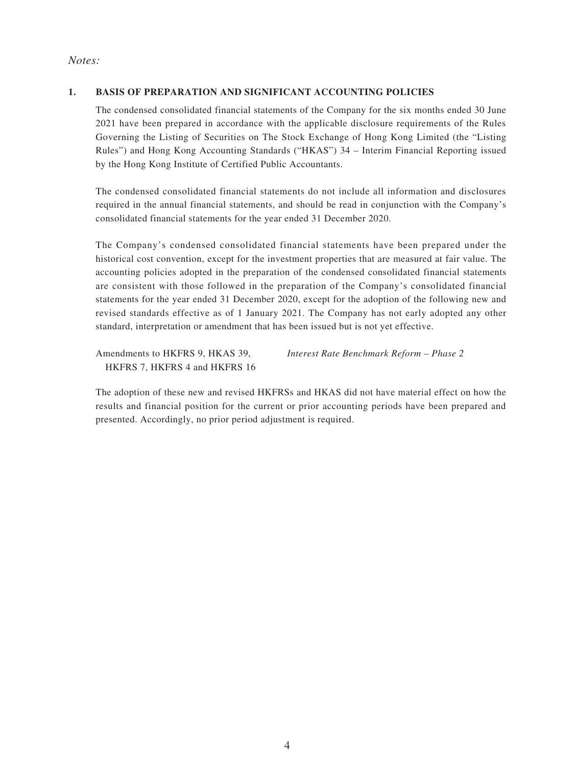### *Notes:*

#### **1. BASIS OF PREPARATION AND SIGNIFICANT ACCOUNTING POLICIES**

The condensed consolidated financial statements of the Company for the six months ended 30 June 2021 have been prepared in accordance with the applicable disclosure requirements of the Rules Governing the Listing of Securities on The Stock Exchange of Hong Kong Limited (the "Listing Rules") and Hong Kong Accounting Standards ("HKAS") 34 – Interim Financial Reporting issued by the Hong Kong Institute of Certified Public Accountants.

The condensed consolidated financial statements do not include all information and disclosures required in the annual financial statements, and should be read in conjunction with the Company's consolidated financial statements for the year ended 31 December 2020.

The Company's condensed consolidated financial statements have been prepared under the historical cost convention, except for the investment properties that are measured at fair value. The accounting policies adopted in the preparation of the condensed consolidated financial statements are consistent with those followed in the preparation of the Company's consolidated financial statements for the year ended 31 December 2020, except for the adoption of the following new and revised standards effective as of 1 January 2021. The Company has not early adopted any other standard, interpretation or amendment that has been issued but is not yet effective.

Amendments to HKFRS 9, HKAS 39, HKFRS 7, HKFRS 4 and HKFRS 16 *Interest Rate Benchmark Reform – Phase 2*

The adoption of these new and revised HKFRSs and HKAS did not have material effect on how the results and financial position for the current or prior accounting periods have been prepared and presented. Accordingly, no prior period adjustment is required.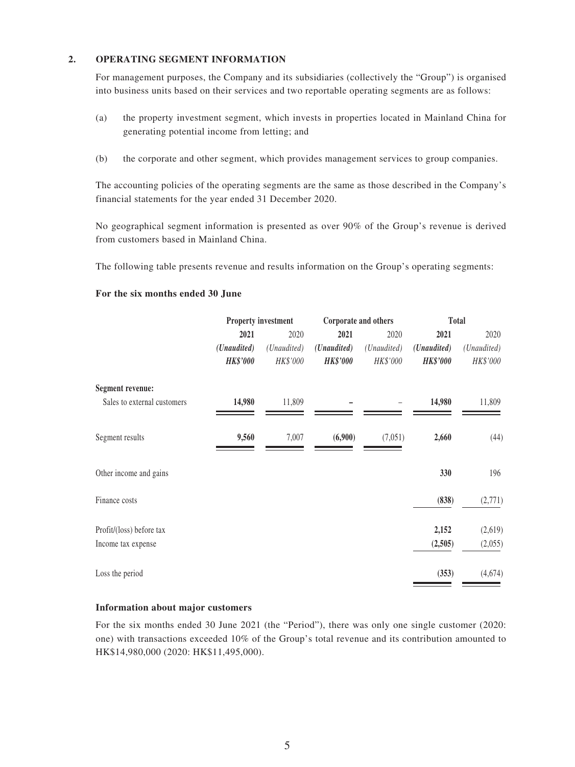#### **2. OPERATING SEGMENT INFORMATION**

For management purposes, the Company and its subsidiaries (collectively the "Group") is organised into business units based on their services and two reportable operating segments are as follows:

- (a) the property investment segment, which invests in properties located in Mainland China for generating potential income from letting; and
- (b) the corporate and other segment, which provides management services to group companies.

The accounting policies of the operating segments are the same as those described in the Company's financial statements for the year ended 31 December 2020.

No geographical segment information is presented as over 90% of the Group's revenue is derived from customers based in Mainland China.

The following table presents revenue and results information on the Group's operating segments:

#### **For the six months ended 30 June**

|                             |                 | <b>Property investment</b> |                 | Corporate and others |                 | <b>Total</b> |  |
|-----------------------------|-----------------|----------------------------|-----------------|----------------------|-----------------|--------------|--|
|                             | 2021            | 2020                       | 2021            | 2020                 | 2021            | 2020         |  |
|                             | (Unaudited)     | (Unaudited)                | (Unaudited)     | (Unaudited)          | (Unaudited)     | (Unaudited)  |  |
|                             | <b>HK\$'000</b> | HK\$'000                   | <b>HK\$'000</b> | HK\$'000             | <b>HK\$'000</b> | HK\$'000     |  |
| <b>Segment revenue:</b>     |                 |                            |                 |                      |                 |              |  |
| Sales to external customers | 14,980          | 11,809                     |                 |                      | 14,980          | 11,809       |  |
| Segment results             | 9,560           | 7,007                      | (6,900)         | (7,051)              | 2,660           | (44)         |  |
| Other income and gains      |                 |                            |                 |                      | 330             | 196          |  |
| Finance costs               |                 |                            |                 |                      | (838)           | (2,771)      |  |
| Profit/(loss) before tax    |                 |                            |                 |                      | 2,152           | (2,619)      |  |
| Income tax expense          |                 |                            |                 |                      | (2,505)         | (2,055)      |  |
| Loss the period             |                 |                            |                 |                      | (353)           | (4,674)      |  |

#### **Information about major customers**

For the six months ended 30 June 2021 (the "Period"), there was only one single customer (2020: one) with transactions exceeded 10% of the Group's total revenue and its contribution amounted to HK\$14,980,000 (2020: HK\$11,495,000).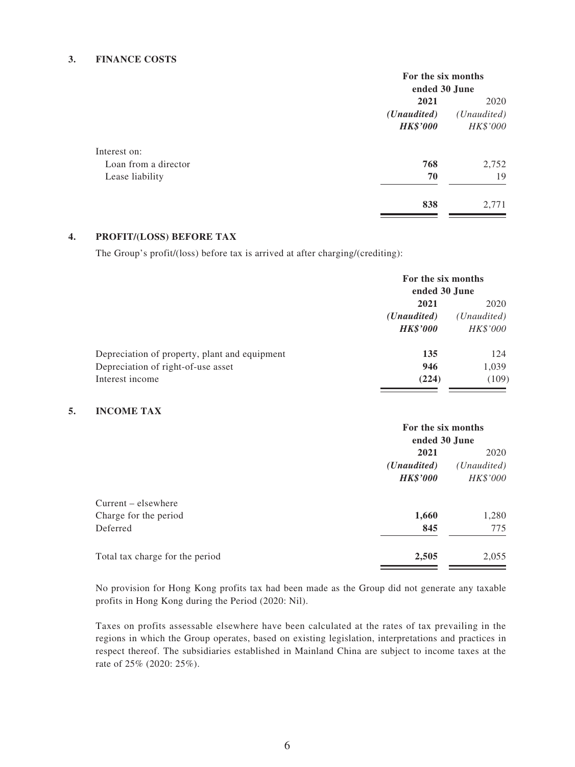#### **3. FINANCE COSTS**

|                      |                      | For the six months   |  |  |
|----------------------|----------------------|----------------------|--|--|
|                      |                      | ended 30 June        |  |  |
|                      | 2021                 | 2020                 |  |  |
|                      | ( <i>Unaudited</i> ) | ( <i>Unaudited</i> ) |  |  |
|                      | <b>HK\$'000</b>      | HK\$'000             |  |  |
| Interest on:         |                      |                      |  |  |
| Loan from a director | 768                  | 2,752                |  |  |
| Lease liability      | 70                   | 19                   |  |  |
|                      | 838                  | 2,771                |  |  |

#### **4. PROFIT/(LOSS) BEFORE TAX**

The Group's profit/(loss) before tax is arrived at after charging/(crediting):

|                                               | For the six months<br>ended 30 June |             |
|-----------------------------------------------|-------------------------------------|-------------|
|                                               | 2021                                |             |
|                                               | ( <i>Unaudited</i> )                | (Unaudited) |
|                                               | <b>HK\$'000</b>                     | HK\$'000    |
| Depreciation of property, plant and equipment | 135                                 | 124         |
| Depreciation of right-of-use asset            | 946                                 | 1,039       |
| Interest income                               | (224)                               | (109)       |

#### **5. INCOME TAX**

|                                 | For the six months                  |          |  |
|---------------------------------|-------------------------------------|----------|--|
|                                 | ended 30 June                       |          |  |
|                                 | 2021                                |          |  |
|                                 | ( <i>Unaudited</i> )<br>(Unaudited) |          |  |
|                                 | <b>HK\$'000</b>                     | HK\$'000 |  |
| $Current - elsewhere$           |                                     |          |  |
| Charge for the period           | 1,660                               | 1,280    |  |
| Deferred                        | 845                                 | 775      |  |
| Total tax charge for the period | 2,505                               | 2,055    |  |

No provision for Hong Kong profits tax had been made as the Group did not generate any taxable profits in Hong Kong during the Period (2020: Nil).

Taxes on profits assessable elsewhere have been calculated at the rates of tax prevailing in the regions in which the Group operates, based on existing legislation, interpretations and practices in respect thereof. The subsidiaries established in Mainland China are subject to income taxes at the rate of 25% (2020: 25%).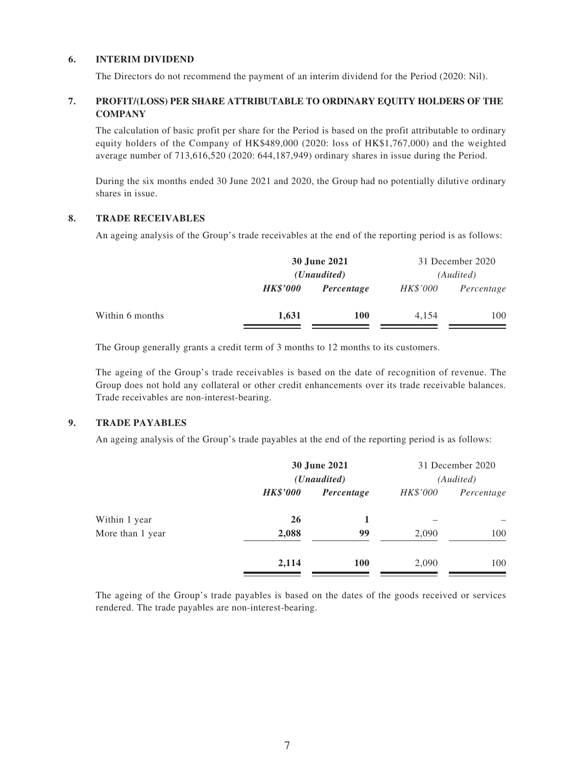#### **6. INTERIM DIVIDEND**

The Directors do not recommend the payment of an interim dividend for the Period (2020: Nil).

#### **7. PROFIT/(LOSS) PER SHARE ATTRIBUTABLE TO ORDINARY EQUITY HOLDERS OF THE COMPANY**

The calculation of basic profit per share for the Period is based on the profit attributable to ordinary equity holders of the Company of HK\$489,000 (2020: loss of HK\$1,767,000) and the weighted average number of 713,616,520 (2020: 644,187,949) ordinary shares in issue during the Period.

During the six months ended 30 June 2021 and 2020, the Group had no potentially dilutive ordinary shares in issue.

#### **8. TRADE RECEIVABLES**

An ageing analysis of the Group's trade receivables at the end of the reporting period is as follows:

|                 | 30 June 2021<br>( <i>Unaudited</i> ) |            |                 | 31 December 2020<br>(Audited) |
|-----------------|--------------------------------------|------------|-----------------|-------------------------------|
|                 | <b>HK\$'000</b>                      | Percentage | <i>HK\$'000</i> | Percentage                    |
| Within 6 months | 1,631                                | <b>100</b> | 4.154           | 100                           |

The Group generally grants a credit term of 3 months to 12 months to its customers.

The ageing of the Group's trade receivables is based on the date of recognition of revenue. The Group does not hold any collateral or other credit enhancements over its trade receivable balances. Trade receivables are non-interest-bearing.

#### **9. TRADE PAYABLES**

An ageing analysis of the Group's trade payables at the end of the reporting period is as follows:

| 30 June 2021<br>( <i>Unaudited</i> ) |            | 31 December 2020<br>(Audited) |     |
|--------------------------------------|------------|-------------------------------|-----|
|                                      |            |                               |     |
| 26                                   |            |                               |     |
| 2,088                                | 99         | 2,090                         | 100 |
| 2,114                                | <b>100</b> | 2,090                         | 100 |
|                                      |            |                               |     |

The ageing of the Group's trade payables is based on the dates of the goods received or services rendered. The trade payables are non-interest-bearing.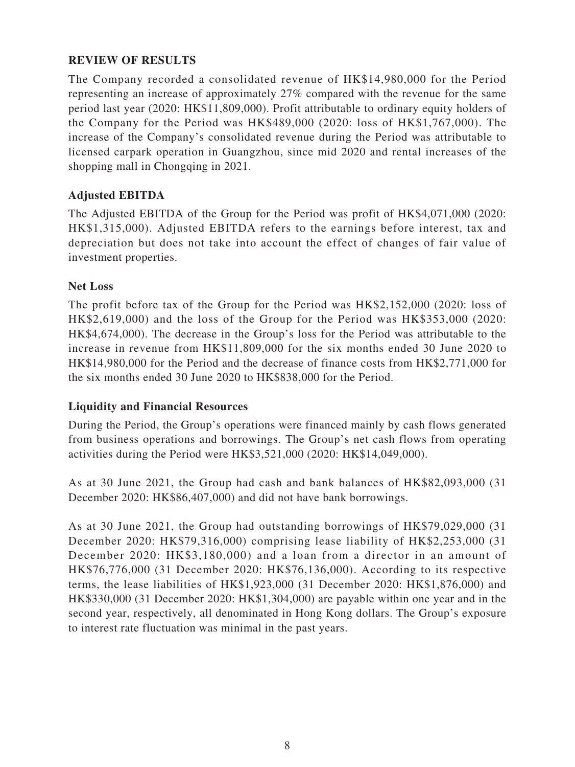### **REVIEW OF RESULTS**

The Company recorded a consolidated revenue of HK\$14,980,000 for the Period representing an increase of approximately 27% compared with the revenue for the same period last year (2020: HK\$11,809,000). Profit attributable to ordinary equity holders of the Company for the Period was HK\$489,000 (2020: loss of HK\$1,767,000). The increase of the Company's consolidated revenue during the Period was attributable to licensed carpark operation in Guangzhou, since mid 2020 and rental increases of the shopping mall in Chongqing in 2021.

### **Adjusted EBITDA**

The Adjusted EBITDA of the Group for the Period was profit of HK\$4,071,000 (2020: HK\$1,315,000). Adjusted EBITDA refers to the earnings before interest, tax and depreciation but does not take into account the effect of changes of fair value of investment properties.

### **Net Loss**

The profit before tax of the Group for the Period was HK\$2,152,000 (2020: loss of HK\$2,619,000) and the loss of the Group for the Period was HK\$353,000 (2020: HK\$4,674,000). The decrease in the Group's loss for the Period was attributable to the increase in revenue from HK\$11,809,000 for the six months ended 30 June 2020 to HK\$14,980,000 for the Period and the decrease of finance costs from HK\$2,771,000 for the six months ended 30 June 2020 to HK\$838,000 for the Period.

### **Liquidity and Financial Resources**

During the Period, the Group's operations were financed mainly by cash flows generated from business operations and borrowings. The Group's net cash flows from operating activities during the Period were HK\$3,521,000 (2020: HK\$14,049,000).

As at 30 June 2021, the Group had cash and bank balances of HK\$82,093,000 (31 December 2020: HK\$86,407,000) and did not have bank borrowings.

As at 30 June 2021, the Group had outstanding borrowings of HK\$79,029,000 (31 December 2020: HK\$79,316,000) comprising lease liability of HK\$2,253,000 (31 December 2020: HK\$3,180,000) and a loan from a director in an amount of HK\$76,776,000 (31 December 2020: HK\$76,136,000). According to its respective terms, the lease liabilities of HK\$1,923,000 (31 December 2020: HK\$1,876,000) and HK\$330,000 (31 December 2020: HK\$1,304,000) are payable within one year and in the second year, respectively, all denominated in Hong Kong dollars. The Group's exposure to interest rate fluctuation was minimal in the past years.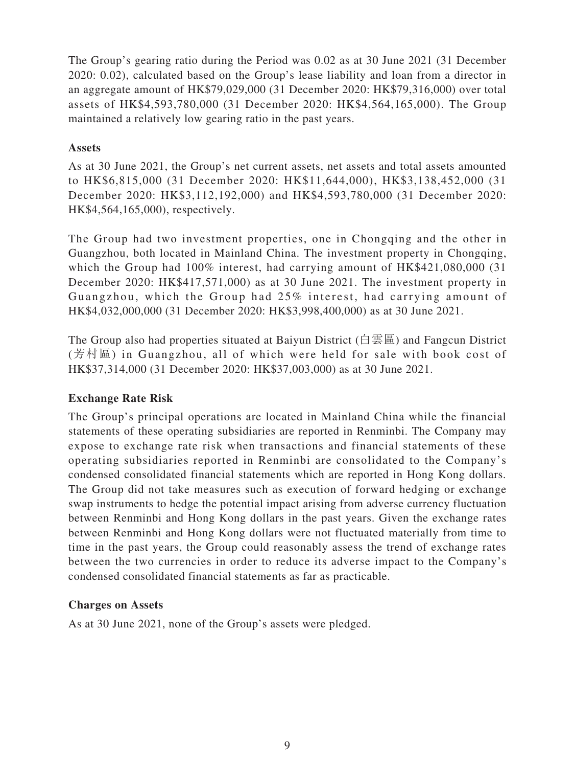The Group's gearing ratio during the Period was 0.02 as at 30 June 2021 (31 December 2020: 0.02), calculated based on the Group's lease liability and loan from a director in an aggregate amount of HK\$79,029,000 (31 December 2020: HK\$79,316,000) over total assets of HK\$4,593,780,000 (31 December 2020: HK\$4,564,165,000). The Group maintained a relatively low gearing ratio in the past years.

### **Assets**

As at 30 June 2021, the Group's net current assets, net assets and total assets amounted to HK\$6,815,000 (31 December 2020: HK\$11,644,000), HK\$3,138,452,000 (31 December 2020: HK\$3,112,192,000) and HK\$4,593,780,000 (31 December 2020: HK\$4,564,165,000), respectively.

The Group had two investment properties, one in Chongqing and the other in Guangzhou, both located in Mainland China. The investment property in Chongqing, which the Group had  $100\%$  interest, had carrying amount of HK\$421,080,000 (31) December 2020: HK\$417,571,000) as at 30 June 2021. The investment property in Guangzhou, which the Group had 25% interest, had carrying amount of HK\$4,032,000,000 (31 December 2020: HK\$3,998,400,000) as at 30 June 2021.

The Group also had properties situated at Baiyun District (白雲區) and Fangcun District (芳村區) in Guangzhou, all of which were held for sale with book cost of HK\$37,314,000 (31 December 2020: HK\$37,003,000) as at 30 June 2021.

# **Exchange Rate Risk**

The Group's principal operations are located in Mainland China while the financial statements of these operating subsidiaries are reported in Renminbi. The Company may expose to exchange rate risk when transactions and financial statements of these operating subsidiaries reported in Renminbi are consolidated to the Company's condensed consolidated financial statements which are reported in Hong Kong dollars. The Group did not take measures such as execution of forward hedging or exchange swap instruments to hedge the potential impact arising from adverse currency fluctuation between Renminbi and Hong Kong dollars in the past years. Given the exchange rates between Renminbi and Hong Kong dollars were not fluctuated materially from time to time in the past years, the Group could reasonably assess the trend of exchange rates between the two currencies in order to reduce its adverse impact to the Company's condensed consolidated financial statements as far as practicable.

# **Charges on Assets**

As at 30 June 2021, none of the Group's assets were pledged.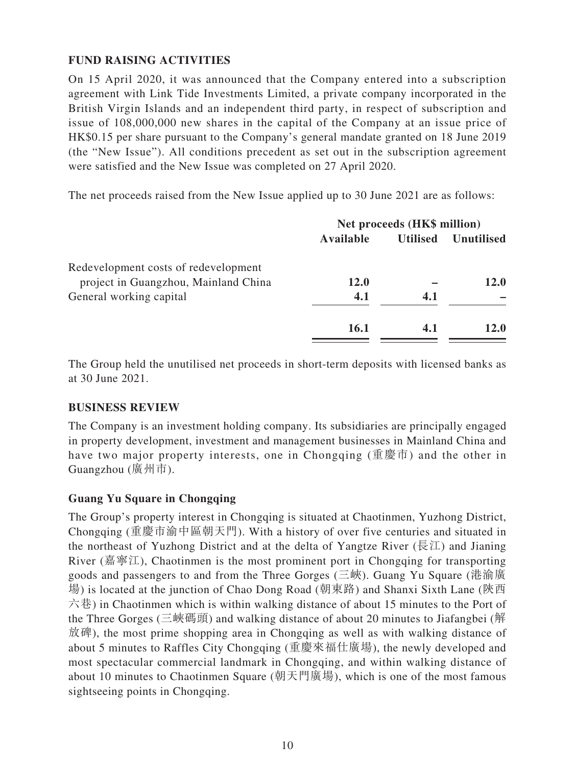# **FUND RAISING ACTIVITIES**

On 15 April 2020, it was announced that the Company entered into a subscription agreement with Link Tide Investments Limited, a private company incorporated in the British Virgin Islands and an independent third party, in respect of subscription and issue of 108,000,000 new shares in the capital of the Company at an issue price of HK\$0.15 per share pursuant to the Company's general mandate granted on 18 June 2019 (the "New Issue"). All conditions precedent as set out in the subscription agreement were satisfied and the New Issue was completed on 27 April 2020.

The net proceeds raised from the New Issue applied up to 30 June 2021 are as follows:

| Net proceeds (HK\$ million) |                 |                   |
|-----------------------------|-----------------|-------------------|
| Available                   | <b>Utilised</b> | <b>Unutilised</b> |
|                             |                 |                   |
| <b>12.0</b>                 |                 | <b>12.0</b>       |
| 4.1                         | 4.1             |                   |
| 16.1                        | 4.1             | <b>12.0</b>       |
|                             |                 |                   |

The Group held the unutilised net proceeds in short-term deposits with licensed banks as at 30 June 2021.

### **BUSINESS REVIEW**

The Company is an investment holding company. Its subsidiaries are principally engaged in property development, investment and management businesses in Mainland China and have two major property interests, one in Chongqing (重慶市) and the other in Guangzhou (廣州市).

### **Guang Yu Square in Chongqing**

The Group's property interest in Chongqing is situated at Chaotinmen, Yuzhong District, Chongqing (重慶市渝中區朝天門). With a history of over five centuries and situated in the northeast of Yuzhong District and at the delta of Yangtze River ( $\overline{\mathbb{R}}\mathbb{Z}$ ) and Jianing River (嘉寧江), Chaotinmen is the most prominent port in Chongqing for transporting goods and passengers to and from the Three Gorges (三峽). Guang Yu Square (港渝廣 場) is located at the junction of Chao Dong Road (朝東路) and Shanxi Sixth Lane (陝西 六巷) in Chaotinmen which is within walking distance of about 15 minutes to the Port of the Three Gorges (三峽碼頭) and walking distance of about 20 minutes to Jiafangbei (解 放碑), the most prime shopping area in Chongqing as well as with walking distance of about 5 minutes to Raffles City Chongqing (重慶來福仕廣場), the newly developed and most spectacular commercial landmark in Chongqing, and within walking distance of about 10 minutes to Chaotinmen Square (朝天門廣場), which is one of the most famous sightseeing points in Chongqing.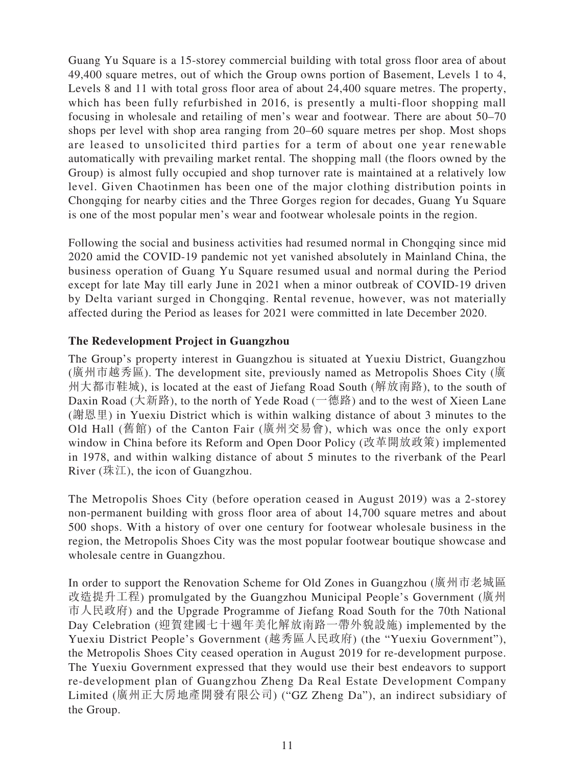Guang Yu Square is a 15-storey commercial building with total gross floor area of about 49,400 square metres, out of which the Group owns portion of Basement, Levels 1 to 4, Levels 8 and 11 with total gross floor area of about 24,400 square metres. The property, which has been fully refurbished in 2016, is presently a multi-floor shopping mall focusing in wholesale and retailing of men's wear and footwear. There are about 50–70 shops per level with shop area ranging from 20–60 square metres per shop. Most shops are leased to unsolicited third parties for a term of about one year renewable automatically with prevailing market rental. The shopping mall (the floors owned by the Group) is almost fully occupied and shop turnover rate is maintained at a relatively low level. Given Chaotinmen has been one of the major clothing distribution points in Chongqing for nearby cities and the Three Gorges region for decades, Guang Yu Square is one of the most popular men's wear and footwear wholesale points in the region.

Following the social and business activities had resumed normal in Chongqing since mid 2020 amid the COVID-19 pandemic not yet vanished absolutely in Mainland China, the business operation of Guang Yu Square resumed usual and normal during the Period except for late May till early June in 2021 when a minor outbreak of COVID-19 driven by Delta variant surged in Chongqing. Rental revenue, however, was not materially affected during the Period as leases for 2021 were committed in late December 2020.

### **The Redevelopment Project in Guangzhou**

The Group's property interest in Guangzhou is situated at Yuexiu District, Guangzhou (廣州市越秀區). The development site, previously named as Metropolis Shoes City (廣 州大都市鞋城), is located at the east of Jiefang Road South (解放南路), to the south of Daxin Road (大新路), to the north of Yede Road (一德路) and to the west of Xieen Lane (謝恩里) in Yuexiu District which is within walking distance of about 3 minutes to the Old Hall (舊館) of the Canton Fair (廣州交易會), which was once the only export window in China before its Reform and Open Door Policy (改革開放政策) implemented in 1978, and within walking distance of about 5 minutes to the riverbank of the Pearl River  $(\& \mathcal{I})$ , the icon of Guangzhou.

The Metropolis Shoes City (before operation ceased in August 2019) was a 2-storey non-permanent building with gross floor area of about 14,700 square metres and about 500 shops. With a history of over one century for footwear wholesale business in the region, the Metropolis Shoes City was the most popular footwear boutique showcase and wholesale centre in Guangzhou.

In order to support the Renovation Scheme for Old Zones in Guangzhou (廣州市老城區 改造提升工程) promulgated by the Guangzhou Municipal People's Government (廣州 市人民政府) and the Upgrade Programme of Jiefang Road South for the 70th National Day Celebration (迎賀建國七十週年美化解放南路一帶外貌設施) implemented by the Yuexiu District People's Government (越秀區人民政府) (the "Yuexiu Government"), the Metropolis Shoes City ceased operation in August 2019 for re-development purpose. The Yuexiu Government expressed that they would use their best endeavors to support re-development plan of Guangzhou Zheng Da Real Estate Development Company Limited (廣州正大房地產開發有限公司) ("GZ Zheng Da"), an indirect subsidiary of the Group.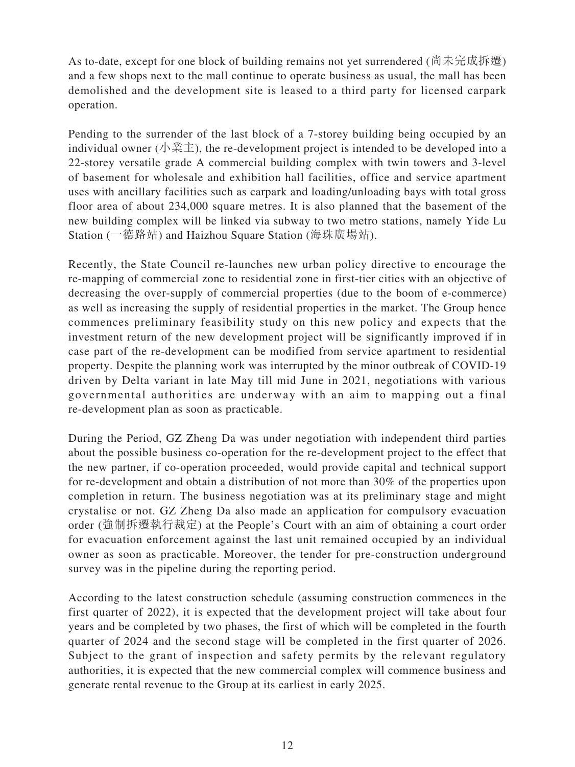As to-date, except for one block of building remains not yet surrendered (尚未完成拆遷) and a few shops next to the mall continue to operate business as usual, the mall has been demolished and the development site is leased to a third party for licensed carpark operation.

Pending to the surrender of the last block of a 7-storey building being occupied by an individual owner (小業主), the re-development project is intended to be developed into a 22-storey versatile grade A commercial building complex with twin towers and 3-level of basement for wholesale and exhibition hall facilities, office and service apartment uses with ancillary facilities such as carpark and loading/unloading bays with total gross floor area of about 234,000 square metres. It is also planned that the basement of the new building complex will be linked via subway to two metro stations, namely Yide Lu Station (一德路站) and Haizhou Square Station (海珠廣場站).

Recently, the State Council re-launches new urban policy directive to encourage the re-mapping of commercial zone to residential zone in first-tier cities with an objective of decreasing the over-supply of commercial properties (due to the boom of e-commerce) as well as increasing the supply of residential properties in the market. The Group hence commences preliminary feasibility study on this new policy and expects that the investment return of the new development project will be significantly improved if in case part of the re-development can be modified from service apartment to residential property. Despite the planning work was interrupted by the minor outbreak of COVID-19 driven by Delta variant in late May till mid June in 2021, negotiations with various governmental authorities are underway with an aim to mapping out a final re-development plan as soon as practicable.

During the Period, GZ Zheng Da was under negotiation with independent third parties about the possible business co-operation for the re-development project to the effect that the new partner, if co-operation proceeded, would provide capital and technical support for re-development and obtain a distribution of not more than 30% of the properties upon completion in return. The business negotiation was at its preliminary stage and might crystalise or not. GZ Zheng Da also made an application for compulsory evacuation order (強制拆遷執行裁定) at the People's Court with an aim of obtaining a court order for evacuation enforcement against the last unit remained occupied by an individual owner as soon as practicable. Moreover, the tender for pre-construction underground survey was in the pipeline during the reporting period.

According to the latest construction schedule (assuming construction commences in the first quarter of 2022), it is expected that the development project will take about four years and be completed by two phases, the first of which will be completed in the fourth quarter of 2024 and the second stage will be completed in the first quarter of 2026. Subject to the grant of inspection and safety permits by the relevant regulatory authorities, it is expected that the new commercial complex will commence business and generate rental revenue to the Group at its earliest in early 2025.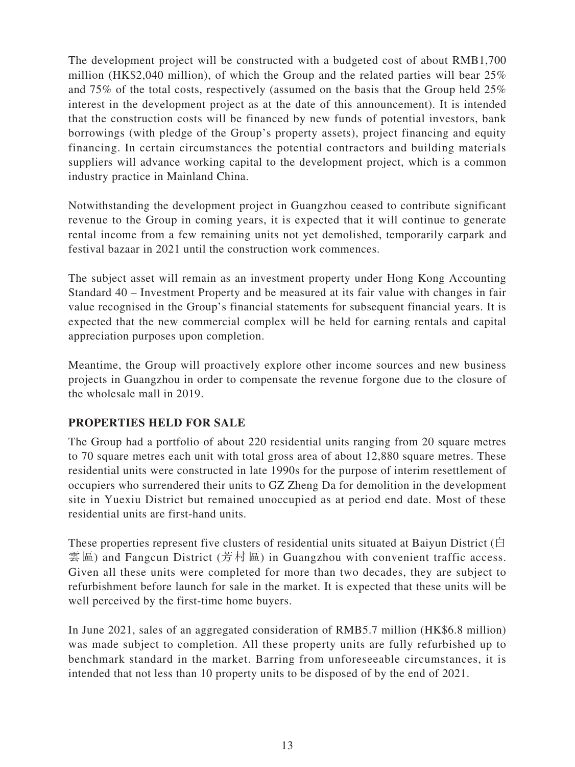The development project will be constructed with a budgeted cost of about RMB1,700 million (HK\$2,040 million), of which the Group and the related parties will bear 25% and 75% of the total costs, respectively (assumed on the basis that the Group held 25% interest in the development project as at the date of this announcement). It is intended that the construction costs will be financed by new funds of potential investors, bank borrowings (with pledge of the Group's property assets), project financing and equity financing. In certain circumstances the potential contractors and building materials suppliers will advance working capital to the development project, which is a common industry practice in Mainland China.

Notwithstanding the development project in Guangzhou ceased to contribute significant revenue to the Group in coming years, it is expected that it will continue to generate rental income from a few remaining units not yet demolished, temporarily carpark and festival bazaar in 2021 until the construction work commences.

The subject asset will remain as an investment property under Hong Kong Accounting Standard 40 – Investment Property and be measured at its fair value with changes in fair value recognised in the Group's financial statements for subsequent financial years. It is expected that the new commercial complex will be held for earning rentals and capital appreciation purposes upon completion.

Meantime, the Group will proactively explore other income sources and new business projects in Guangzhou in order to compensate the revenue forgone due to the closure of the wholesale mall in 2019.

### **PROPERTIES HELD FOR SALE**

The Group had a portfolio of about 220 residential units ranging from 20 square metres to 70 square metres each unit with total gross area of about 12,880 square metres. These residential units were constructed in late 1990s for the purpose of interim resettlement of occupiers who surrendered their units to GZ Zheng Da for demolition in the development site in Yuexiu District but remained unoccupied as at period end date. Most of these residential units are first-hand units.

These properties represent five clusters of residential units situated at Baiyun District (白 雲 區) and Fangcun District (芳村區) in Guangzhou with convenient traffic access. Given all these units were completed for more than two decades, they are subject to refurbishment before launch for sale in the market. It is expected that these units will be well perceived by the first-time home buyers.

In June 2021, sales of an aggregated consideration of RMB5.7 million (HK\$6.8 million) was made subject to completion. All these property units are fully refurbished up to benchmark standard in the market. Barring from unforeseeable circumstances, it is intended that not less than 10 property units to be disposed of by the end of 2021.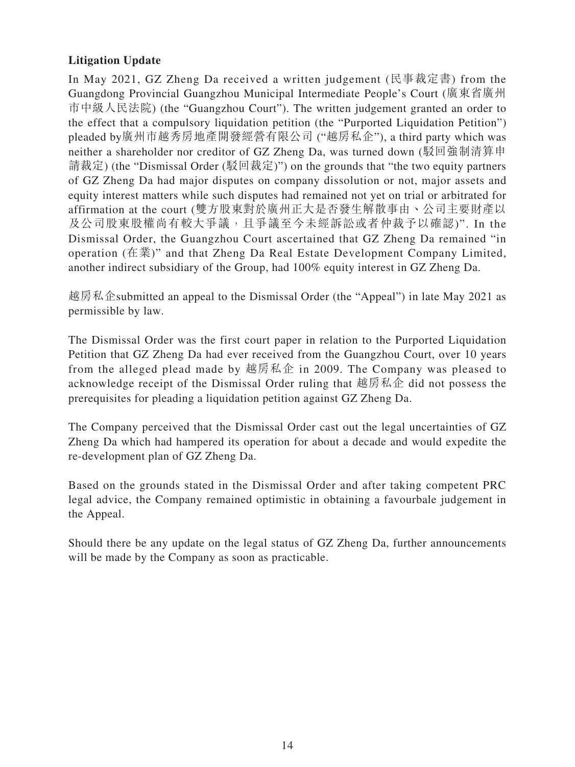# **Litigation Update**

In May 2021, GZ Zheng Da received a written judgement (民事裁定書) from the Guangdong Provincial Guangzhou Municipal Intermediate People's Court (廣東省廣州 市中級人民法院) (the "Guangzhou Court"). The written judgement granted an order to the effect that a compulsory liquidation petition (the "Purported Liquidation Petition") pleaded by廣州市越秀房地產開發經營有限公司 ("越房私企"), a third party which was neither a shareholder nor creditor of GZ Zheng Da, was turned down (駁回強制清算申 請裁定) (the "Dismissal Order (駁回裁定)") on the grounds that "the two equity partners of GZ Zheng Da had major disputes on company dissolution or not, major assets and equity interest matters while such disputes had remained not yet on trial or arbitrated for affirmation at the court (雙方股東對於廣州正大是否發生解散事由丶公司主要財產以 及公司股東股權尚有較大爭議,且爭議至今未經訴訟或者仲裁予以確認)". In the Dismissal Order, the Guangzhou Court ascertained that GZ Zheng Da remained "in operation (在業)" and that Zheng Da Real Estate Development Company Limited, another indirect subsidiary of the Group, had 100% equity interest in GZ Zheng Da.

越房私企submitted an appeal to the Dismissal Order (the "Appeal") in late May 2021 as permissible by law.

The Dismissal Order was the first court paper in relation to the Purported Liquidation Petition that GZ Zheng Da had ever received from the Guangzhou Court, over 10 years from the alleged plead made by 越房私企 in 2009. The Company was pleased to acknowledge receipt of the Dismissal Order ruling that 越房私企 did not possess the prerequisites for pleading a liquidation petition against GZ Zheng Da.

The Company perceived that the Dismissal Order cast out the legal uncertainties of GZ Zheng Da which had hampered its operation for about a decade and would expedite the re-development plan of GZ Zheng Da.

Based on the grounds stated in the Dismissal Order and after taking competent PRC legal advice, the Company remained optimistic in obtaining a favourbale judgement in the Appeal.

Should there be any update on the legal status of GZ Zheng Da, further announcements will be made by the Company as soon as practicable.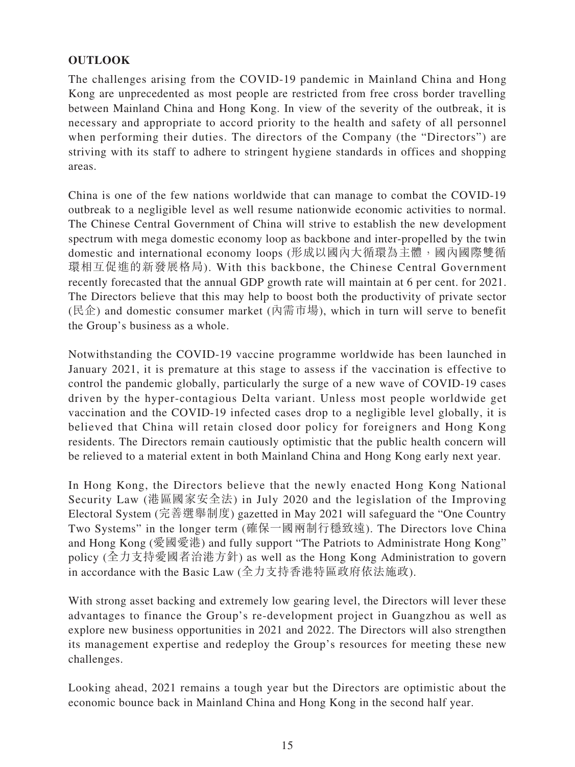# **OUTLOOK**

The challenges arising from the COVID-19 pandemic in Mainland China and Hong Kong are unprecedented as most people are restricted from free cross border travelling between Mainland China and Hong Kong. In view of the severity of the outbreak, it is necessary and appropriate to accord priority to the health and safety of all personnel when performing their duties. The directors of the Company (the "Directors") are striving with its staff to adhere to stringent hygiene standards in offices and shopping areas.

China is one of the few nations worldwide that can manage to combat the COVID-19 outbreak to a negligible level as well resume nationwide economic activities to normal. The Chinese Central Government of China will strive to establish the new development spectrum with mega domestic economy loop as backbone and inter-propelled by the twin domestic and international economy loops (形成以國內大循環為主體,國內內國際雙循 環相互促進的新發展格局). With this backbone, the Chinese Central Government recently forecasted that the annual GDP growth rate will maintain at 6 per cent. for 2021. The Directors believe that this may help to boost both the productivity of private sector (民企) and domestic consumer market (內需市場), which in turn will serve to benefit the Group's business as a whole.

Notwithstanding the COVID-19 vaccine programme worldwide has been launched in January 2021, it is premature at this stage to assess if the vaccination is effective to control the pandemic globally, particularly the surge of a new wave of COVID-19 cases driven by the hyper-contagious Delta variant. Unless most people worldwide get vaccination and the COVID-19 infected cases drop to a negligible level globally, it is believed that China will retain closed door policy for foreigners and Hong Kong residents. The Directors remain cautiously optimistic that the public health concern will be relieved to a material extent in both Mainland China and Hong Kong early next year.

In Hong Kong, the Directors believe that the newly enacted Hong Kong National Security Law (港區國家安全法) in July 2020 and the legislation of the Improving Electoral System (完善選舉制度) gazetted in May 2021 will safeguard the "One Country Two Systems" in the longer term (確保一國兩制行穩致遠). The Directors love China and Hong Kong (愛國愛港) and fully support "The Patriots to Administrate Hong Kong" policy (全力支持愛國者治港方針) as well as the Hong Kong Administration to govern in accordance with the Basic Law (全力支持香港特區政府依法施政).

With strong asset backing and extremely low gearing level, the Directors will lever these advantages to finance the Group's re-development project in Guangzhou as well as explore new business opportunities in 2021 and 2022. The Directors will also strengthen its management expertise and redeploy the Group's resources for meeting these new challenges.

Looking ahead, 2021 remains a tough year but the Directors are optimistic about the economic bounce back in Mainland China and Hong Kong in the second half year.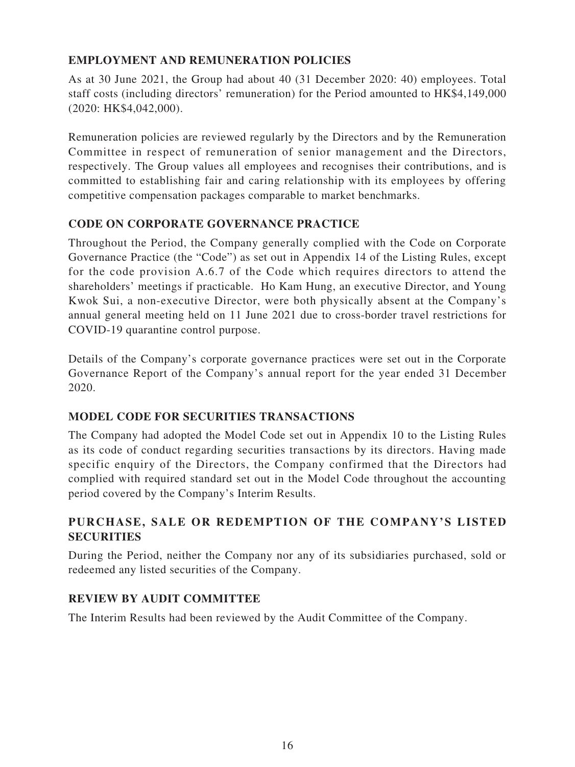# **EMPLOYMENT AND REMUNERATION POLICIES**

As at 30 June 2021, the Group had about 40 (31 December 2020: 40) employees. Total staff costs (including directors' remuneration) for the Period amounted to HK\$4,149,000 (2020: HK\$4,042,000).

Remuneration policies are reviewed regularly by the Directors and by the Remuneration Committee in respect of remuneration of senior management and the Directors, respectively. The Group values all employees and recognises their contributions, and is committed to establishing fair and caring relationship with its employees by offering competitive compensation packages comparable to market benchmarks.

# **CODE ON CORPORATE GOVERNANCE PRACTICE**

Throughout the Period, the Company generally complied with the Code on Corporate Governance Practice (the "Code") as set out in Appendix 14 of the Listing Rules, except for the code provision A.6.7 of the Code which requires directors to attend the shareholders' meetings if practicable. Ho Kam Hung, an executive Director, and Young Kwok Sui, a non-executive Director, were both physically absent at the Company's annual general meeting held on 11 June 2021 due to cross-border travel restrictions for COVID-19 quarantine control purpose.

Details of the Company's corporate governance practices were set out in the Corporate Governance Report of the Company's annual report for the year ended 31 December 2020.

# **MODEL CODE FOR SECURITIES TRANSACTIONS**

The Company had adopted the Model Code set out in Appendix 10 to the Listing Rules as its code of conduct regarding securities transactions by its directors. Having made specific enquiry of the Directors, the Company confirmed that the Directors had complied with required standard set out in the Model Code throughout the accounting period covered by the Company's Interim Results.

# **PURCHASE, SALE OR REDEMPTION OF THE COMPANY'S LISTED SECURITIES**

During the Period, neither the Company nor any of its subsidiaries purchased, sold or redeemed any listed securities of the Company.

# **REVIEW BY AUDIT COMMITTEE**

The Interim Results had been reviewed by the Audit Committee of the Company.